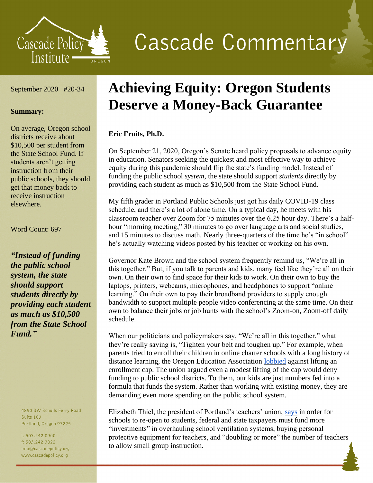

# **Cascade Commentary**

### September 2020 #20-34

#### **Summary:**

On average, Oregon school districts receive about \$10,500 per student from the State School Fund. If students aren't getting instruction from their public schools, they should get that money back to receive instruction elsewhere.

Word Count: 697

*"Instead of funding the public school system, the state should support students directly by providing each student as much as \$10,500 from the State School Fund."*

> 4850 SW Scholls Ferry Road **Suite 103** Portland, Oregon 97225

t: 503.242.0900 f: 503.242.3822 info@cascadepolicy.org www.cascadepolicy.org

# **Achieving Equity: Oregon Students Deserve a Money-Back Guarantee**

## **Eric Fruits, Ph.D.**

On September 21, 2020, Oregon's Senate heard policy proposals to advance equity in education. Senators seeking the quickest and most effective way to achieve equity during this pandemic should flip the state's funding model. Instead of funding the public school *system*, the state should support *students* directly by providing each student as much as \$10,500 from the State School Fund.

My fifth grader in Portland Public Schools just got his daily COVID-19 class schedule, and there's a lot of alone time. On a typical day, he meets with his classroom teacher over Zoom for 75 minutes over the 6.25 hour day. There's a halfhour "morning meeting," 30 minutes to go over language arts and social studies, and 15 minutes to discuss math. Nearly three-quarters of the time he's "in school" he's actually watching videos posted by his teacher or working on his own.

Governor Kate Brown and the school system frequently remind us, "We're all in this together." But, if you talk to parents and kids, many feel like they're all on their own. On their own to find space for their kids to work. On their own to buy the laptops, printers, webcams, microphones, and headphones to support "online learning." On their own to pay their broadband providers to supply enough bandwidth to support multiple people video conferencing at the same time. On their own to balance their jobs or job hunts with the school's Zoom-on, Zoom-off daily schedule.

When our politicians and policymakers say, "We're all in this together," what they're really saying is, "Tighten your belt and toughen up." For example, when parents tried to enroll their children in online charter schools with a long history of distance learning, the Oregon Education Association [lobbied](https://olis.oregonlegislature.gov/liz/2019I1/Downloads/CommitteeMeetingDocument/222653) against lifting an enrollment cap. The union argued even a modest lifting of the cap would deny funding to public school districts. To them, our kids are just numbers fed into a formula that funds the system. Rather than working with existing money, they are demanding even more spending on the public school system.

Elizabeth Thiel, the president of Portland's teachers' union, [says](https://nwlaborpress.org/2020/08/reopening-schools-what-teachers-think/) in order for schools to re-open to students, federal and state taxpayers must fund more "investments" in overhauling school ventilation systems, buying personal protective equipment for teachers, and "doubling or more" the number of teachers to allow small group instruction.